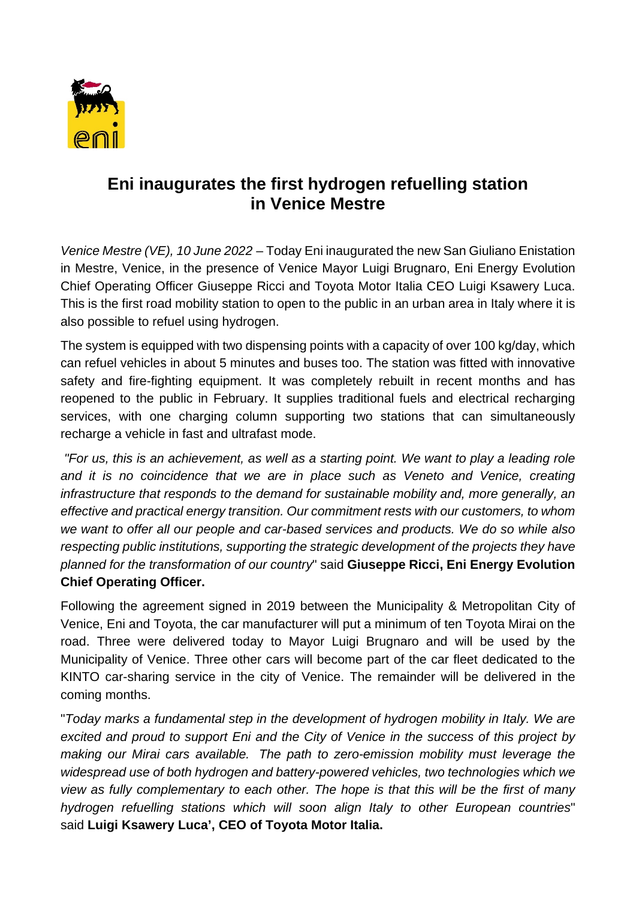

## **Eni inaugurates the first hydrogen refuelling station in Venice Mestre**

*Venice Mestre (VE), 10 June 2022* – Today Eni inaugurated the new San Giuliano Enistation in Mestre, Venice, in the presence of Venice Mayor Luigi Brugnaro, Eni Energy Evolution Chief Operating Officer Giuseppe Ricci and Toyota Motor Italia CEO Luigi Ksawery Luca. This is the first road mobility station to open to the public in an urban area in Italy where it is also possible to refuel using hydrogen.

The system is equipped with two dispensing points with a capacity of over 100 kg/day, which can refuel vehicles in about 5 minutes and buses too. The station was fitted with innovative safety and fire-fighting equipment. It was completely rebuilt in recent months and has reopened to the public in February. It supplies traditional fuels and electrical recharging services, with one charging column supporting two stations that can simultaneously recharge a vehicle in fast and ultrafast mode.

*"For us, this is an achievement, as well as a starting point. We want to play a leading role and it is no coincidence that we are in place such as Veneto and Venice, creating infrastructure that responds to the demand for sustainable mobility and, more generally, an effective and practical energy transition. Our commitment rests with our customers, to whom we want to offer all our people and car-based services and products. We do so while also respecting public institutions, supporting the strategic development of the projects they have planned for the transformation of our country*" said **Giuseppe Ricci, Eni Energy Evolution Chief Operating Officer.**

Following the agreement signed in 2019 between the Municipality & Metropolitan City of Venice, Eni and Toyota, the car manufacturer will put a minimum of ten Toyota Mirai on the road. Three were delivered today to Mayor Luigi Brugnaro and will be used by the Municipality of Venice. Three other cars will become part of the car fleet dedicated to the KINTO car-sharing service in the city of Venice. The remainder will be delivered in the coming months.

"*Today marks a fundamental step in the development of hydrogen mobility in Italy. We are excited and proud to support Eni and the City of Venice in the success of this project by making our Mirai cars available. The path to zero-emission mobility must leverage the widespread use of both hydrogen and battery-powered vehicles, two technologies which we view as fully complementary to each other. The hope is that this will be the first of many hydrogen refuelling stations which will soon align Italy to other European countries*" said **Luigi Ksawery Luca', CEO of Toyota Motor Italia.**